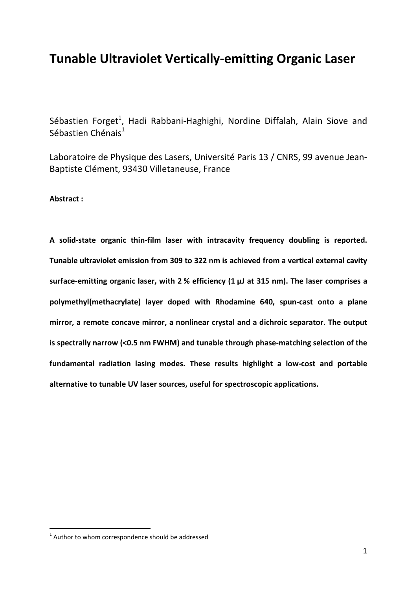## **Tunable Ultraviolet Vertically-emitting Organic Laser**

Sébastien Forget<sup>1</sup>, Hadi Rabbani-Haghighi, Nordine Diffalah, Alain Siove and Sébastien Chénais<sup>1</sup>

Laboratoire de Physique des Lasers, Université Paris 13 / CNRS, 99 avenue Jean-Baptiste Clément, 93430 Villetaneuse, France

**Abstract :**

**A solid-state organic thin-film laser with intracavity frequency doubling is reported. Tunable ultraviolet emission from 309 to 322 nm is achieved from a vertical external cavity surface-emitting organic laser, with 2 % efficiency (1 µJ at 315 nm). The laser comprises a polymethyl(methacrylate) layer doped with Rhodamine 640, spun-cast onto a plane mirror, a remote concave mirror, a nonlinear crystal and a dichroic separator. The output is spectrally narrow (<0.5 nm FWHM) and tunable through phase-matching selection of the fundamental radiation lasing modes. These results highlight a low-cost and portable alternative to tunable UV laser sources, useful for spectroscopic applications.** 

 $1$  Author to whom correspondence should be addressed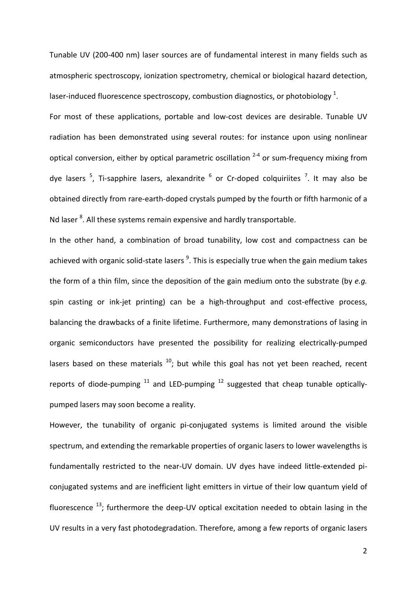Tunable UV (200-400 nm) laser sources are of fundamental interest in many fields such as atmospheric spectroscopy, ionization spectrometry, chemical or biological hazard detection, laser-induced fluorescence spectroscopy, combustion diagnostics, or photobiology  $^{1}$ . For most of these applications, portable and low-cost devices are desirable. Tunable UV radiation has been demonstrated using several routes: for instance upon using nonlinear optical conversion, either by optical parametric oscillation  $2-4$  or sum-frequency mixing from dye lasers  $5$ , Ti-sapphire lasers, alexandrite  $6$  or Cr-doped colquiriites  $7$ . It may also be obtained directly from rare-earth-doped crystals pumped by the fourth or fifth harmonic of a Nd laser <sup>8</sup>. All these systems remain expensive and hardly transportable.

In the other hand, a combination of broad tunability, low cost and compactness can be achieved with organic solid-state lasers <sup>9</sup>. This is especially true when the gain medium takes the form of a thin film, since the deposition of the gain medium onto the substrate (by *e.g.*  spin casting or ink-jet printing) can be a high-throughput and cost-effective process, balancing the drawbacks of a finite lifetime. Furthermore, many demonstrations of lasing in organic semiconductors have presented the possibility for realizing electrically-pumped lasers based on these materials  $^{10}$ ; but while this goal has not yet been reached, recent reports of diode-pumping  $11$  and LED-pumping  $12$  suggested that cheap tunable opticallypumped lasers may soon become a reality.

However, the tunability of organic pi-conjugated systems is limited around the visible spectrum, and extending the remarkable properties of organic lasers to lower wavelengths is fundamentally restricted to the near-UV domain. UV dyes have indeed little-extended piconjugated systems and are inefficient light emitters in virtue of their low quantum yield of fluorescence  $^{13}$ ; furthermore the deep-UV optical excitation needed to obtain lasing in the UV results in a very fast photodegradation. Therefore, among a few reports of organic lasers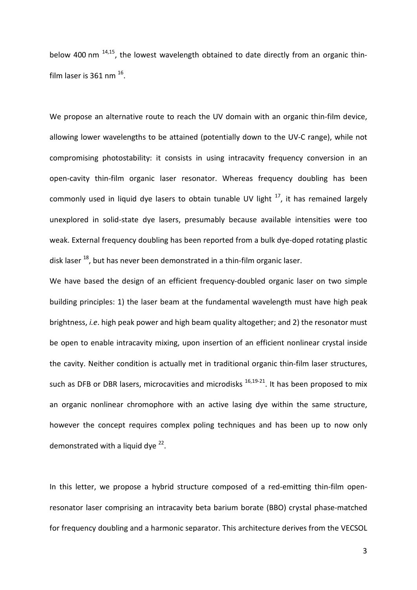below 400 nm  $^{14,15}$ , the lowest wavelength obtained to date directly from an organic thinfilm laser is 361 nm  $^{16}$ .

We propose an alternative route to reach the UV domain with an organic thin-film device, allowing lower wavelengths to be attained (potentially down to the UV-C range), while not compromising photostability: it consists in using intracavity frequency conversion in an open-cavity thin-film organic laser resonator. Whereas frequency doubling has been commonly used in liquid dye lasers to obtain tunable UV light  $17$ , it has remained largely unexplored in solid-state dye lasers, presumably because available intensities were too weak. External frequency doubling has been reported from a bulk dye-doped rotating plastic disk laser <sup>18</sup>, but has never been demonstrated in a thin-film organic laser.

We have based the design of an efficient frequency-doubled organic laser on two simple building principles: 1) the laser beam at the fundamental wavelength must have high peak brightness, *i.e*. high peak power and high beam quality altogether; and 2) the resonator must be open to enable intracavity mixing, upon insertion of an efficient nonlinear crystal inside the cavity. Neither condition is actually met in traditional organic thin-film laser structures, such as DFB or DBR lasers, microcavities and microdisks <sup>16,19-21</sup>. It has been proposed to mix an organic nonlinear chromophore with an active lasing dye within the same structure, however the concept requires complex poling techniques and has been up to now only demonstrated with a liquid dye  $^{22}$ .

In this letter, we propose a hybrid structure composed of a red-emitting thin-film openresonator laser comprising an intracavity beta barium borate (BBO) crystal phase-matched for frequency doubling and a harmonic separator. This architecture derives from the VECSOL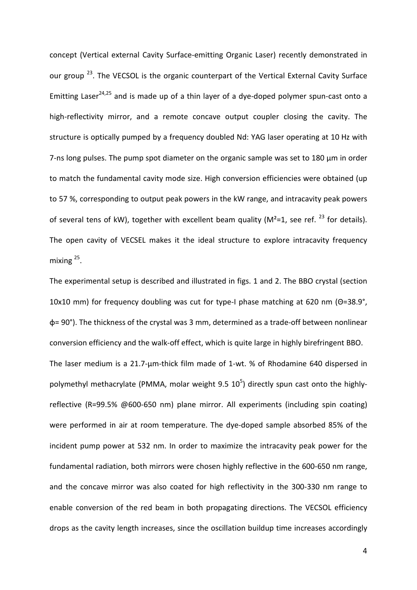concept (Vertical external Cavity Surface-emitting Organic Laser) recently demonstrated in our group<sup>23</sup>. The VECSOL is the organic counterpart of the Vertical External Cavity Surface Emitting Laser<sup>24,25</sup> and is made up of a thin layer of a dye-doped polymer spun-cast onto a high-reflectivity mirror, and a remote concave output coupler closing the cavity. The structure is optically pumped by a frequency doubled Nd: YAG laser operating at 10 Hz with 7-ns long pulses. The pump spot diameter on the organic sample was set to 180 µm in order to match the fundamental cavity mode size. High conversion efficiencies were obtained (up to 57 %, corresponding to output peak powers in the kW range, and intracavity peak powers of several tens of kW), together with excellent beam quality ( $M^2$ =1, see ref. <sup>23</sup> for details). The open cavity of VECSEL makes it the ideal structure to explore intracavity frequency mixing 25.

The experimental setup is described and illustrated in figs. 1 and 2. The BBO crystal (section 10x10 mm) for frequency doubling was cut for type-I phase matching at 620 nm (Θ=38.9°, φ= 90°). The thickness of the crystal was 3 mm, determined as a trade-off between nonlinear conversion efficiency and the walk-off effect, which is quite large in highly birefringent BBO. The laser medium is a 21.7-µm-thick film made of 1-wt. % of Rhodamine 640 dispersed in polymethyl methacrylate (PMMA, molar weight 9.5  $10^5$ ) directly spun cast onto the highlyreflective (R=99.5% @600-650 nm) plane mirror. All experiments (including spin coating) were performed in air at room temperature. The dye-doped sample absorbed 85% of the incident pump power at 532 nm. In order to maximize the intracavity peak power for the fundamental radiation, both mirrors were chosen highly reflective in the 600-650 nm range, and the concave mirror was also coated for high reflectivity in the 300-330 nm range to enable conversion of the red beam in both propagating directions. The VECSOL efficiency drops as the cavity length increases, since the oscillation buildup time increases accordingly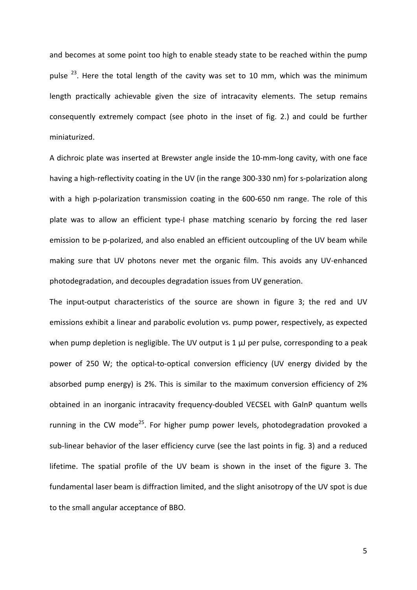and becomes at some point too high to enable steady state to be reached within the pump pulse  $^{23}$ . Here the total length of the cavity was set to 10 mm, which was the minimum length practically achievable given the size of intracavity elements. The setup remains consequently extremely compact (see photo in the inset of fig. 2.) and could be further miniaturized.

A dichroic plate was inserted at Brewster angle inside the 10-mm-long cavity, with one face having a high-reflectivity coating in the UV (in the range 300-330 nm) for s-polarization along with a high p-polarization transmission coating in the 600-650 nm range. The role of this plate was to allow an efficient type-I phase matching scenario by forcing the red laser emission to be p-polarized, and also enabled an efficient outcoupling of the UV beam while making sure that UV photons never met the organic film. This avoids any UV-enhanced photodegradation, and decouples degradation issues from UV generation.

The input-output characteristics of the source are shown in figure 3; the red and UV emissions exhibit a linear and parabolic evolution vs. pump power, respectively, as expected when pump depletion is negligible. The UV output is  $1 \mu$ J per pulse, corresponding to a peak power of 250 W; the optical-to-optical conversion efficiency (UV energy divided by the absorbed pump energy) is 2%. This is similar to the maximum conversion efficiency of 2% obtained in an inorganic intracavity frequency-doubled VECSEL with GaInP quantum wells running in the CW mode<sup>25</sup>. For higher pump power levels, photodegradation provoked a sub-linear behavior of the laser efficiency curve (see the last points in fig. 3) and a reduced lifetime. The spatial profile of the UV beam is shown in the inset of the figure 3. The fundamental laser beam is diffraction limited, and the slight anisotropy of the UV spot is due to the small angular acceptance of BBO.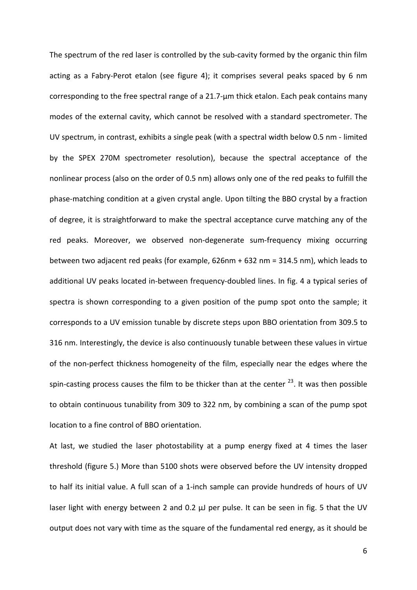The spectrum of the red laser is controlled by the sub-cavity formed by the organic thin film acting as a Fabry-Perot etalon (see figure 4); it comprises several peaks spaced by 6 nm corresponding to the free spectral range of a 21.7-µm thick etalon. Each peak contains many modes of the external cavity, which cannot be resolved with a standard spectrometer. The UV spectrum, in contrast, exhibits a single peak (with a spectral width below 0.5 nm - limited by the SPEX 270M spectrometer resolution), because the spectral acceptance of the nonlinear process (also on the order of 0.5 nm) allows only one of the red peaks to fulfill the phase-matching condition at a given crystal angle. Upon tilting the BBO crystal by a fraction of degree, it is straightforward to make the spectral acceptance curve matching any of the red peaks. Moreover, we observed non-degenerate sum-frequency mixing occurring between two adjacent red peaks (for example, 626nm + 632 nm = 314.5 nm), which leads to additional UV peaks located in-between frequency-doubled lines. In fig. 4 a typical series of spectra is shown corresponding to a given position of the pump spot onto the sample; it corresponds to a UV emission tunable by discrete steps upon BBO orientation from 309.5 to 316 nm. Interestingly, the device is also continuously tunable between these values in virtue of the non-perfect thickness homogeneity of the film, especially near the edges where the spin-casting process causes the film to be thicker than at the center  $^{23}$ . It was then possible to obtain continuous tunability from 309 to 322 nm, by combining a scan of the pump spot location to a fine control of BBO orientation.

At last, we studied the laser photostability at a pump energy fixed at 4 times the laser threshold (figure 5.) More than 5100 shots were observed before the UV intensity dropped to half its initial value. A full scan of a 1-inch sample can provide hundreds of hours of UV laser light with energy between 2 and 0.2 µJ per pulse. It can be seen in fig. 5 that the UV output does not vary with time as the square of the fundamental red energy, as it should be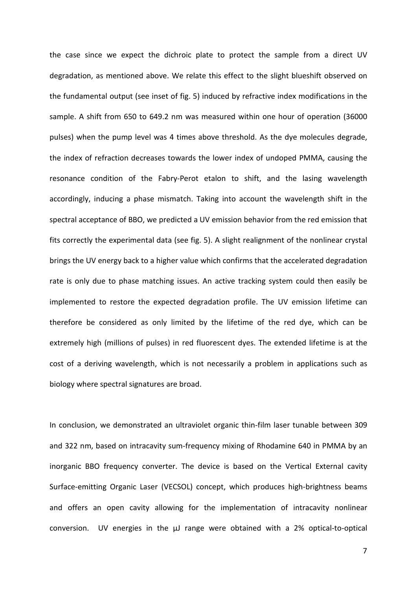the case since we expect the dichroic plate to protect the sample from a direct UV degradation, as mentioned above. We relate this effect to the slight blueshift observed on the fundamental output (see inset of fig. 5) induced by refractive index modifications in the sample. A shift from 650 to 649.2 nm was measured within one hour of operation (36000 pulses) when the pump level was 4 times above threshold. As the dye molecules degrade, the index of refraction decreases towards the lower index of undoped PMMA, causing the resonance condition of the Fabry-Perot etalon to shift, and the lasing wavelength accordingly, inducing a phase mismatch. Taking into account the wavelength shift in the spectral acceptance of BBO, we predicted a UV emission behavior from the red emission that fits correctly the experimental data (see fig. 5). A slight realignment of the nonlinear crystal brings the UV energy back to a higher value which confirms that the accelerated degradation rate is only due to phase matching issues. An active tracking system could then easily be implemented to restore the expected degradation profile. The UV emission lifetime can therefore be considered as only limited by the lifetime of the red dye, which can be extremely high (millions of pulses) in red fluorescent dyes. The extended lifetime is at the cost of a deriving wavelength, which is not necessarily a problem in applications such as biology where spectral signatures are broad.

In conclusion, we demonstrated an ultraviolet organic thin-film laser tunable between 309 and 322 nm, based on intracavity sum-frequency mixing of Rhodamine 640 in PMMA by an inorganic BBO frequency converter. The device is based on the Vertical External cavity Surface-emitting Organic Laser (VECSOL) concept, which produces high-brightness beams and offers an open cavity allowing for the implementation of intracavity nonlinear conversion. UV energies in the µJ range were obtained with a 2% optical-to-optical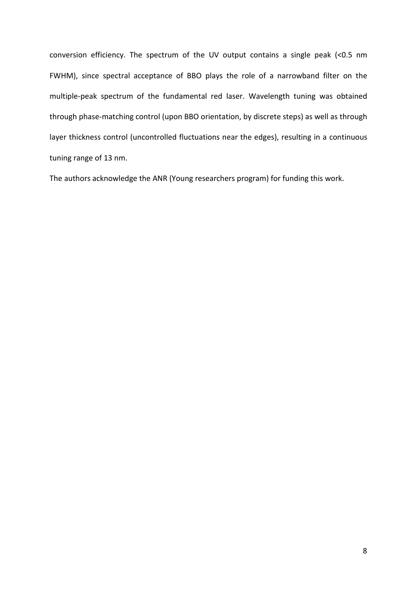conversion efficiency. The spectrum of the UV output contains a single peak (<0.5 nm FWHM), since spectral acceptance of BBO plays the role of a narrowband filter on the multiple-peak spectrum of the fundamental red laser. Wavelength tuning was obtained through phase-matching control (upon BBO orientation, by discrete steps) as well as through layer thickness control (uncontrolled fluctuations near the edges), resulting in a continuous tuning range of 13 nm.

The authors acknowledge the ANR (Young researchers program) for funding this work.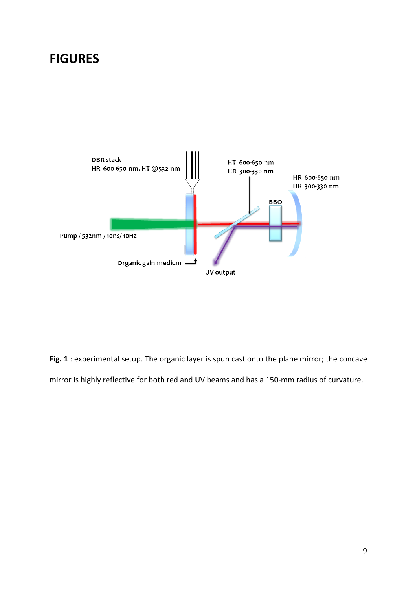## **FIGURES**



**Fig. 1** : experimental setup. The organic layer is spun cast onto the plane mirror; the concave mirror is highly reflective for both red and UV beams and has a 150-mm radius of curvature.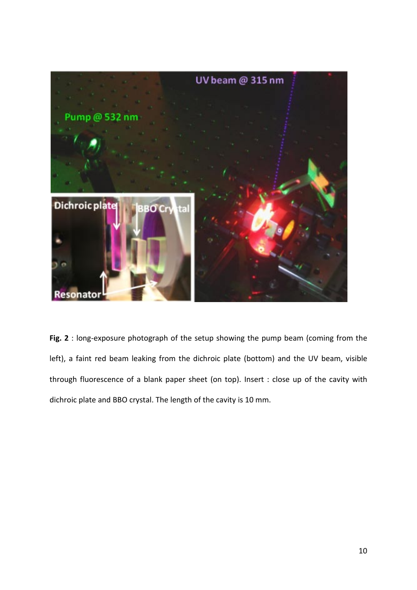

**Fig. 2** : long-exposure photograph of the setup showing the pump beam (coming from the left), a faint red beam leaking from the dichroic plate (bottom) and the UV beam, visible through fluorescence of a blank paper sheet (on top). Insert : close up of the cavity with dichroic plate and BBO crystal. The length of the cavity is 10 mm.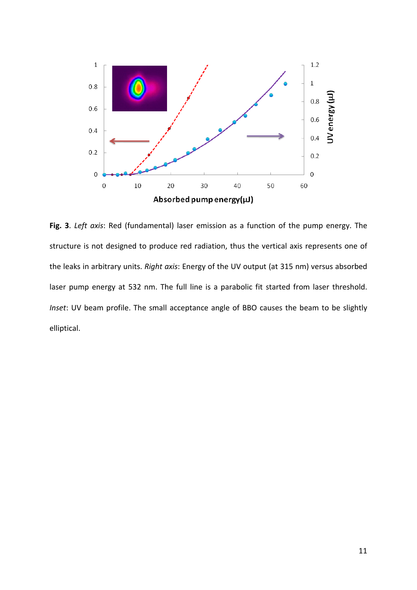

**Fig. 3**. *Left axis*: Red (fundamental) laser emission as a function of the pump energy. The structure is not designed to produce red radiation, thus the vertical axis represents one of the leaks in arbitrary units. *Right axis*: Energy of the UV output (at 315 nm) versus absorbed laser pump energy at 532 nm. The full line is a parabolic fit started from laser threshold. *Inset*: UV beam profile. The small acceptance angle of BBO causes the beam to be slightly elliptical.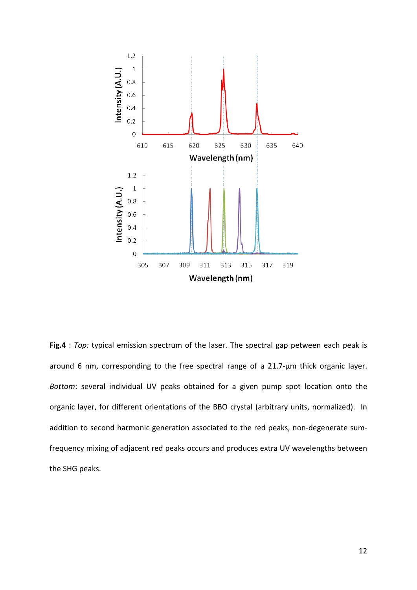

**Fig.4** : *Top:* typical emission spectrum of the laser. The spectral gap petween each peak is around 6 nm, corresponding to the free spectral range of a 21.7-um thick organic layer. *Bottom*: several individual UV peaks obtained for a given pump spot location onto the organic layer, for different orientations of the BBO crystal (arbitrary units, normalized). In addition to second harmonic generation associated to the red peaks, non-degenerate sumfrequency mixing of adjacent red peaks occurs and produces extra UV wavelengths between the SHG peaks.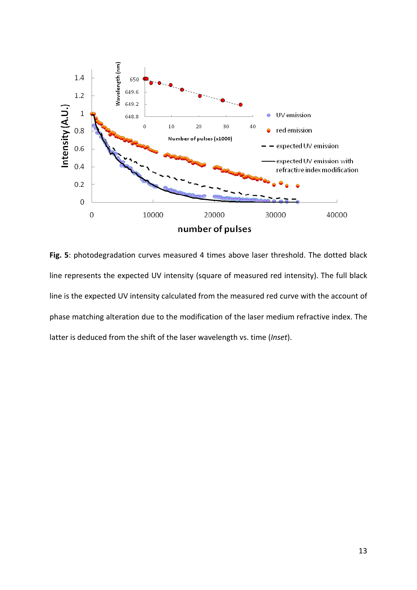

**Fig. 5**: photodegradation curves measured 4 times above laser threshold. The dotted black line represents the expected UV intensity (square of measured red intensity). The full black line is the expected UV intensity calculated from the measured red curve with the account of phase matching alteration due to the modification of the laser medium refractive index. The latter is deduced from the shift of the laser wavelength vs. time (*Inset*).